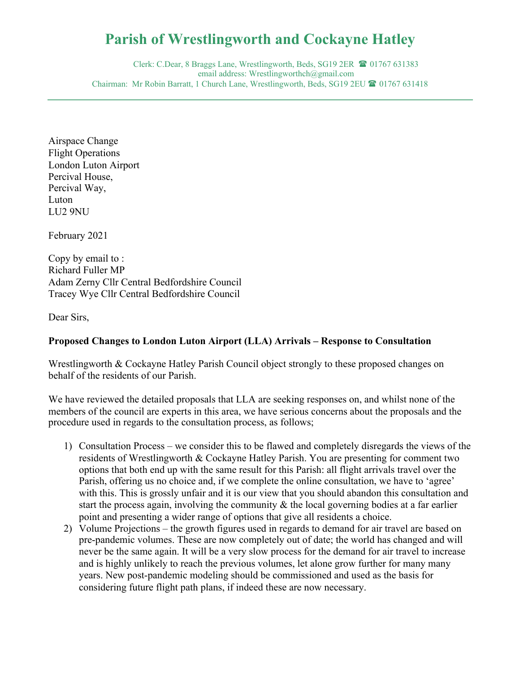## **Parish of Wrestlingworth and Cockayne Hatley**

Clerk: C.Dear, 8 Braggs Lane, Wrestlingworth, Beds, SG19 2ER <sup>1</sup> 01767 631383 email address: Wrestlingworthch@gmail.com Chairman: Mr Robin Barratt, 1 Church Lane, Wrestlingworth, Beds, SG19 2EU <sup>(201</sup>6) 01767 631418

Airspace Change Flight Operations London Luton Airport Percival House, Percival Way, Luton LU2 9NU

February 2021

Copy by email to : Richard Fuller MP Adam Zerny Cllr Central Bedfordshire Council Tracey Wye Cllr Central Bedfordshire Council

Dear Sirs,

## **Proposed Changes to London Luton Airport (LLA) Arrivals – Response to Consultation**

Wrestlingworth & Cockayne Hatley Parish Council object strongly to these proposed changes on behalf of the residents of our Parish.

We have reviewed the detailed proposals that LLA are seeking responses on, and whilst none of the members of the council are experts in this area, we have serious concerns about the proposals and the procedure used in regards to the consultation process, as follows;

- 1) Consultation Process we consider this to be flawed and completely disregards the views of the residents of Wrestlingworth & Cockayne Hatley Parish. You are presenting for comment two options that both end up with the same result for this Parish: all flight arrivals travel over the Parish, offering us no choice and, if we complete the online consultation, we have to 'agree' with this. This is grossly unfair and it is our view that you should abandon this consultation and start the process again, involving the community & the local governing bodies at a far earlier point and presenting a wider range of options that give all residents a choice.
- 2) Volume Projections the growth figures used in regards to demand for air travel are based on pre-pandemic volumes. These are now completely out of date; the world has changed and will never be the same again. It will be a very slow process for the demand for air travel to increase and is highly unlikely to reach the previous volumes, let alone grow further for many many years. New post-pandemic modeling should be commissioned and used as the basis for considering future flight path plans, if indeed these are now necessary.